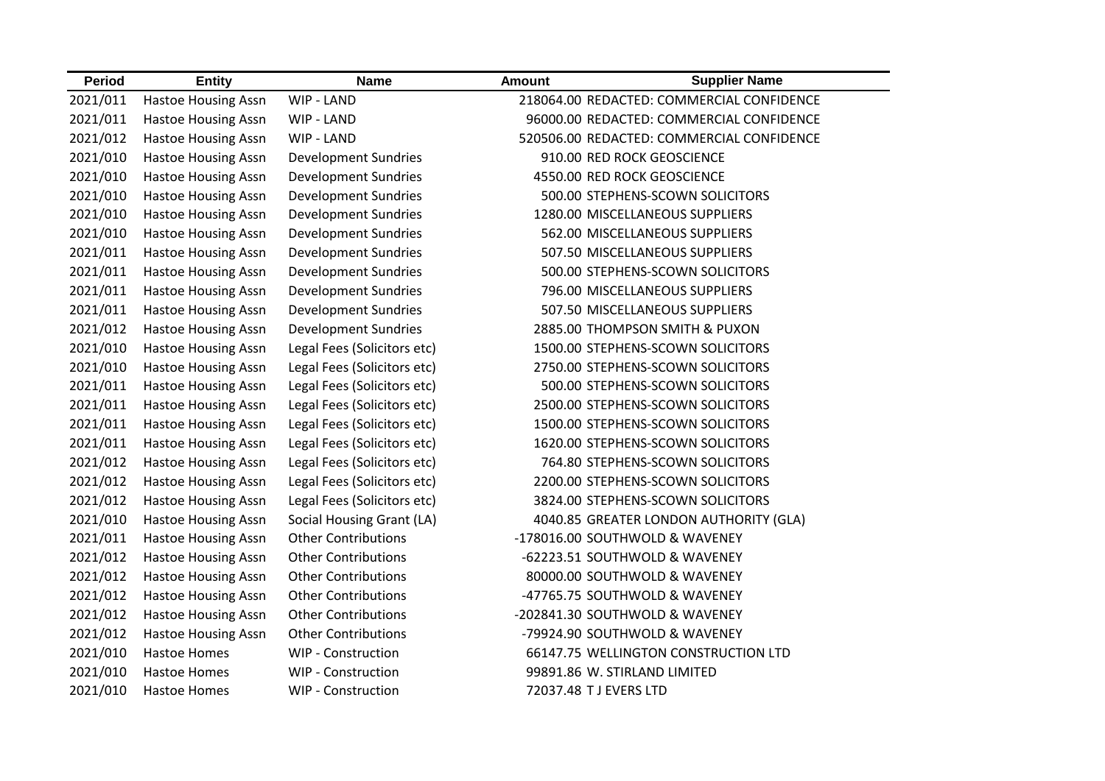| <b>Period</b> | <b>Entity</b>              | <b>Name</b>                 | <b>Amount</b>          | <b>Supplier Name</b>                      |
|---------------|----------------------------|-----------------------------|------------------------|-------------------------------------------|
| 2021/011      | <b>Hastoe Housing Assn</b> | WIP - LAND                  |                        | 218064.00 REDACTED: COMMERCIAL CONFIDENCE |
| 2021/011      | <b>Hastoe Housing Assn</b> | WIP - LAND                  |                        | 96000.00 REDACTED: COMMERCIAL CONFIDENCE  |
| 2021/012      | <b>Hastoe Housing Assn</b> | WIP - LAND                  |                        | 520506.00 REDACTED: COMMERCIAL CONFIDENCE |
| 2021/010      | <b>Hastoe Housing Assn</b> | <b>Development Sundries</b> |                        | 910.00 RED ROCK GEOSCIENCE                |
| 2021/010      | <b>Hastoe Housing Assn</b> | <b>Development Sundries</b> |                        | 4550.00 RED ROCK GEOSCIENCE               |
| 2021/010      | <b>Hastoe Housing Assn</b> | <b>Development Sundries</b> |                        | 500.00 STEPHENS-SCOWN SOLICITORS          |
| 2021/010      | <b>Hastoe Housing Assn</b> | <b>Development Sundries</b> |                        | 1280.00 MISCELLANEOUS SUPPLIERS           |
| 2021/010      | <b>Hastoe Housing Assn</b> | <b>Development Sundries</b> |                        | 562.00 MISCELLANEOUS SUPPLIERS            |
| 2021/011      | <b>Hastoe Housing Assn</b> | <b>Development Sundries</b> |                        | 507.50 MISCELLANEOUS SUPPLIERS            |
| 2021/011      | <b>Hastoe Housing Assn</b> | <b>Development Sundries</b> |                        | 500.00 STEPHENS-SCOWN SOLICITORS          |
| 2021/011      | <b>Hastoe Housing Assn</b> | <b>Development Sundries</b> |                        | 796.00 MISCELLANEOUS SUPPLIERS            |
| 2021/011      | <b>Hastoe Housing Assn</b> | <b>Development Sundries</b> |                        | 507.50 MISCELLANEOUS SUPPLIERS            |
| 2021/012      | <b>Hastoe Housing Assn</b> | <b>Development Sundries</b> |                        | 2885.00 THOMPSON SMITH & PUXON            |
| 2021/010      | <b>Hastoe Housing Assn</b> | Legal Fees (Solicitors etc) |                        | 1500.00 STEPHENS-SCOWN SOLICITORS         |
| 2021/010      | <b>Hastoe Housing Assn</b> | Legal Fees (Solicitors etc) |                        | 2750.00 STEPHENS-SCOWN SOLICITORS         |
| 2021/011      | <b>Hastoe Housing Assn</b> | Legal Fees (Solicitors etc) |                        | 500.00 STEPHENS-SCOWN SOLICITORS          |
| 2021/011      | <b>Hastoe Housing Assn</b> | Legal Fees (Solicitors etc) |                        | 2500.00 STEPHENS-SCOWN SOLICITORS         |
| 2021/011      | Hastoe Housing Assn        | Legal Fees (Solicitors etc) |                        | 1500.00 STEPHENS-SCOWN SOLICITORS         |
| 2021/011      | <b>Hastoe Housing Assn</b> | Legal Fees (Solicitors etc) |                        | 1620.00 STEPHENS-SCOWN SOLICITORS         |
| 2021/012      | <b>Hastoe Housing Assn</b> | Legal Fees (Solicitors etc) |                        | 764.80 STEPHENS-SCOWN SOLICITORS          |
| 2021/012      | <b>Hastoe Housing Assn</b> | Legal Fees (Solicitors etc) |                        | 2200.00 STEPHENS-SCOWN SOLICITORS         |
| 2021/012      | <b>Hastoe Housing Assn</b> | Legal Fees (Solicitors etc) |                        | 3824.00 STEPHENS-SCOWN SOLICITORS         |
| 2021/010      | <b>Hastoe Housing Assn</b> | Social Housing Grant (LA)   |                        | 4040.85 GREATER LONDON AUTHORITY (GLA)    |
| 2021/011      | <b>Hastoe Housing Assn</b> | <b>Other Contributions</b>  |                        | -178016.00 SOUTHWOLD & WAVENEY            |
| 2021/012      | <b>Hastoe Housing Assn</b> | <b>Other Contributions</b>  |                        | -62223.51 SOUTHWOLD & WAVENEY             |
| 2021/012      | Hastoe Housing Assn        | <b>Other Contributions</b>  |                        | 80000.00 SOUTHWOLD & WAVENEY              |
| 2021/012      | <b>Hastoe Housing Assn</b> | <b>Other Contributions</b>  |                        | -47765.75 SOUTHWOLD & WAVENEY             |
| 2021/012      | <b>Hastoe Housing Assn</b> | <b>Other Contributions</b>  |                        | -202841.30 SOUTHWOLD & WAVENEY            |
| 2021/012      | <b>Hastoe Housing Assn</b> | <b>Other Contributions</b>  |                        | -79924.90 SOUTHWOLD & WAVENEY             |
| 2021/010      | <b>Hastoe Homes</b>        | <b>WIP - Construction</b>   |                        | 66147.75 WELLINGTON CONSTRUCTION LTD      |
| 2021/010      | <b>Hastoe Homes</b>        | WIP - Construction          |                        | 99891.86 W. STIRLAND LIMITED              |
| 2021/010      | <b>Hastoe Homes</b>        | <b>WIP - Construction</b>   | 72037.48 T J EVERS LTD |                                           |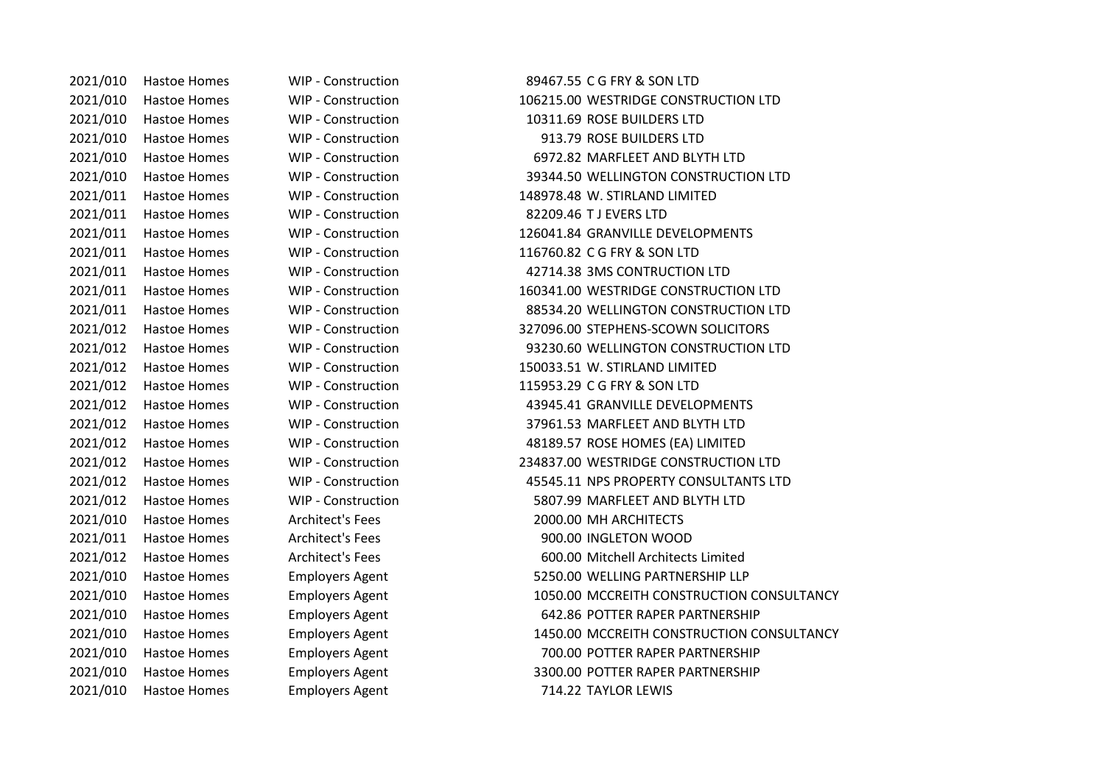2021/010 Hastoe Homes WIP - Construction 89467.55 C G FRY & SON LTD 2021/010 Hastoe Homes WIP - Construction 106215.00 WESTRIDGE CONSTRUCTION LTD 2021/010 Hastoe Homes WIP - Construction 10311.69 ROSE BUILDERS LTD 2021/010 Hastoe Homes WIP - Construction 913.79 ROSE BUILDERS LTD 2021/010 Hastoe Homes WIP - Construction 6972.82 MARFLEET AND BLYTH LTD 2021/010 Hastoe Homes WIP - Construction 39344.50 WELLINGTON CONSTRUCTION LTD 2021/011 Hastoe Homes WIP - Construction 148978.48 W. STIRLAND LIMITED 2021/011 Hastoe Homes WIP - Construction 82209.46 T J EVERS LTD 2021/011 Hastoe Homes WIP - Construction 126041.84 GRANVILLE DEVELOPMENTS 2021/011 Hastoe Homes WIP - Construction 116760.82 C G FRY & SON LTD 2021/011 Hastoe Homes WIP - Construction 42714.38 3MS CONTRUCTION LTD 2021/011 Hastoe Homes WIP - Construction 160341.00 WESTRIDGE CONSTRUCTION LTD 2021/011 Hastoe Homes WIP - Construction 88534.20 WELLINGTON CONSTRUCTION LTD 2021/012 Hastoe Homes WIP - Construction 327096.00 STEPHENS-SCOWN SOLICITORS 2021/012 Hastoe Homes WIP - Construction 93230.60 WELLINGTON CONSTRUCTION LTD 2021/012 Hastoe Homes WIP - Construction 150033.51 W. STIRLAND LIMITED 2021/012 Hastoe Homes WIP - Construction 115953.29 C G FRY & SON LTD 2021/012 Hastoe Homes WIP - Construction 43945.41 GRANVILLE DEVELOPMENTS 2021/012 Hastoe Homes WIP - Construction 37961.53 MARFLEET AND BLYTH LTD 2021/012 Hastoe Homes WIP - Construction 48189.57 ROSE HOMES (EA) LIMITED 2021/012 Hastoe Homes WIP - Construction 234837.00 WESTRIDGE CONSTRUCTION LTD 2021/012 Hastoe Homes WIP - Construction 45545.11 NPS PROPERTY CONSULTANTS LTD 2021/012 Hastoe Homes WIP - Construction 5807.99 MARFLEET AND BLYTH LTD 2021/010 Hastoe Homes Architect's Fees 2000.00 MH ARCHITECTS 2021/011 Hastoe Homes Architect's Fees 900.00 INGLETON WOOD 2021/012 Hastoe Homes Architect's Fees 600.00 Mitchell Architects Limited 2021/010 Hastoe Homes Employers Agent 5250.00 WELLING PARTNERSHIP LLP 2021/010 Hastoe Homes Employers Agent 1050.00 MCCREITH CONSTRUCTION CONSULTANCY 2021/010 Hastoe Homes Employers Agent 642.86 POTTER RAPER PARTNERSHIP 2021/010 Hastoe Homes Employers Agent 1450.00 MCCREITH CONSTRUCTION CONSULTANCY 2021/010 Hastoe Homes Employers Agent 700.00 POTTER RAPER PARTNERSHIP 2021/010 Hastoe Homes Employers Agent 3300.00 POTTER RAPER PARTNERSHIP 2021/010 Hastoe Homes Employers Agent 714.22 TAYLOR LEWIS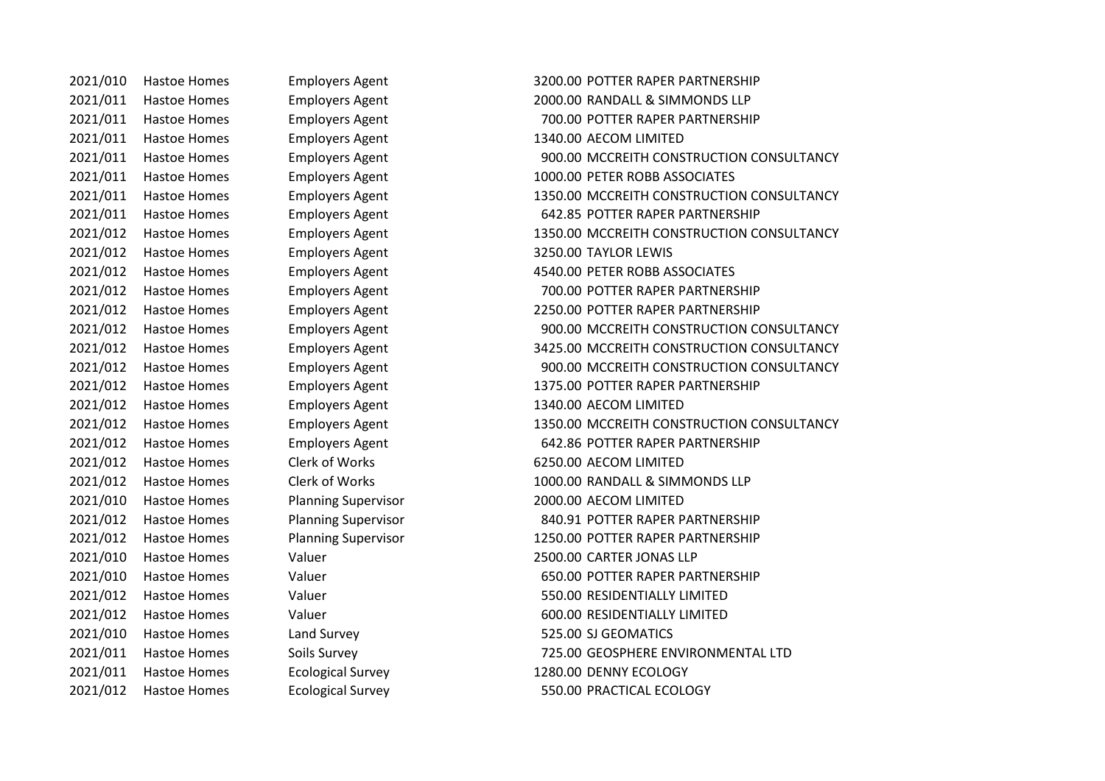2021/011 Hastoe Homes Employers Agent 1340.00 AECOM LIMITED 2021/012 Hastoe Homes Employers Agent 3250.00 TAYLOR LEWIS 2021/012 Hastoe Homes Employers Agent 1340.00 AECOM LIMITED 2021/012 Hastoe Homes Clerk of Works 6250.00 AECOM LIMITED 2021/010 Hastoe Homes Planning Supervisor 2000.00 AECOM LIMITED 2021/010 Hastoe Homes Land Survey 525.00 SJ GEOMATICS 2021/011 Hastoe Homes Ecological Survey 1280.00 DENNY ECOLOGY

2021/010 Hastoe Homes Employers Agent 3200.00 POTTER RAPER PARTNERSHIP 2021/011 Hastoe Homes Employers Agent 2000.00 RANDALL & SIMMONDS LLP 2021/011 Hastoe Homes Employers Agent 700.00 POTTER RAPER PARTNERSHIP 2021/011 Hastoe Homes Employers Agent 900.00 MCCREITH CONSTRUCTION CONSULTANCY 2021/011 Hastoe Homes Employers Agent 1000.00 PETER ROBB ASSOCIATES 2021/011 Hastoe Homes Employers Agent 1350.00 MCCREITH CONSTRUCTION CONSULTANCY 2021/011 Hastoe Homes Employers Agent 642.85 POTTER RAPER PARTNERSHIP 2021/012 Hastoe Homes Employers Agent 1350.00 MCCREITH CONSTRUCTION CONSULTANCY 2021/012 Hastoe Homes Employers Agent 4540.00 PETER ROBB ASSOCIATES 2021/012 Hastoe Homes Employers Agent 700.00 POTTER RAPER PARTNERSHIP 2021/012 Hastoe Homes Employers Agent 2250.00 POTTER RAPER PARTNERSHIP 2021/012 Hastoe Homes Employers Agent 900.00 MCCREITH CONSTRUCTION CONSULTANCY 2021/012 Hastoe Homes Employers Agent 3425.00 MCCREITH CONSTRUCTION CONSULTANCY 2021/012 Hastoe Homes Employers Agent 900.00 MCCREITH CONSTRUCTION CONSULTANCY 2021/012 Hastoe Homes Employers Agent 1375.00 POTTER RAPER PARTNERSHIP 2021/012 Hastoe Homes Employers Agent 1350.00 MCCREITH CONSTRUCTION CONSULTANCY 2021/012 Hastoe Homes Employers Agent 642.86 POTTER RAPER PARTNERSHIP 2021/012 Hastoe Homes Clerk of Works 1000.00 RANDALL & SIMMONDS LLP 2021/012 Hastoe Homes Planning Supervisor 840.91 POTTER RAPER PARTNERSHIP 2021/012 Hastoe Homes Planning Supervisor 1250.00 POTTER RAPER PARTNERSHIP 2021/010 Hastoe Homes Valuer 2500.00 CARTER JONAS LLP 2021/010 Hastoe Homes Valuer 650.00 POTTER RAPER PARTNERSHIP 2021/012 Hastoe Homes Valuer 550.00 RESIDENTIALLY LIMITED 2021/012 Hastoe Homes Valuer 600.00 RESIDENTIALLY LIMITED 2021/011 Hastoe Homes Soils Survey 725.00 GEOSPHERE ENVIRONMENTAL LTD 2021/012 Hastoe Homes Ecological Survey 550.00 PRACTICAL ECOLOGY